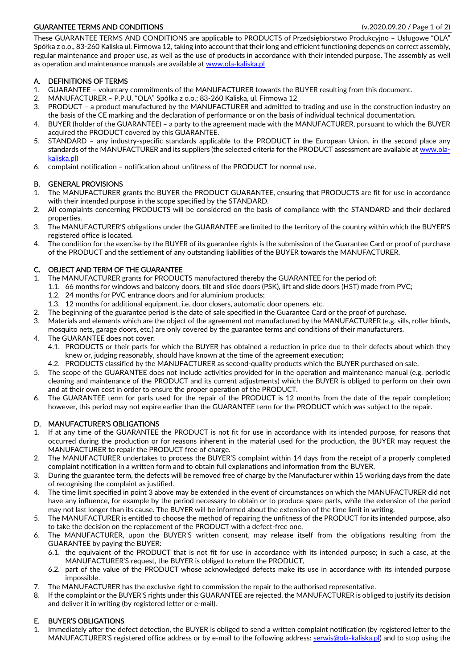# GUARANTEE TERMS AND CONDITIONS (V.2020.09.20 / Page 1 of 2)

These GUARANTEE TERMS AND CONDITIONS are applicable to PRODUCTS of Przedsiębiorstwo Produkcyjno – Usługowe "OLA" Spółka z o.o., 83-260 Kaliska ul. Firmowa 12, taking into account that their long and efficient functioning depends on correct assembly, regular maintenance and proper use, as well as the use of products in accordance with their intended purpose. The assembly as well as operation and maintenance manuals are available at www.ola-kaliska.pl

## A. DEFINITIONS OF TERMS

- 1. GUARANTEE voluntary commitments of the MANUFACTURER towards the BUYER resulting from this document.
- 2. MANUFACTURER P.P.U. "OLA" Spółka z o.o.; 83-260 Kaliska, ul. Firmowa 12
- 3. PRODUCT a product manufactured by the MANUFACTURER and admitted to trading and use in the construction industry on the basis of the CE marking and the declaration of performance or on the basis of individual technical documentation.
- 4. BUYER (holder of the GUARANTEE) a party to the agreement made with the MANUFACTURER, pursuant to which the BUYER acquired the PRODUCT covered by this GUARANTEE.
- 5. STANDARD any industry-specific standards applicable to the PRODUCT in the European Union, in the second place any standards of the MANUFACTURER and its suppliers (the selected criteria for the PRODUCT assessment are available at www.olakaliska.pl)
- 6. complaint notification notification about unfitness of the PRODUCT for normal use.

#### B. GENERAL PROVISIONS

- 1. The MANUFACTURER grants the BUYER the PRODUCT GUARANTEE, ensuring that PRODUCTS are fit for use in accordance with their intended purpose in the scope specified by the STANDARD.
- 2. All complaints concerning PRODUCTS will be considered on the basis of compliance with the STANDARD and their declared properties.
- 3. The MANUFACTURER'S obligations under the GUARANTEE are limited to the territory of the country within which the BUYER'S registered office is located.
- 4. The condition for the exercise by the BUYER of its guarantee rights is the submission of the Guarantee Card or proof of purchase of the PRODUCT and the settlement of any outstanding liabilities of the BUYER towards the MANUFACTURER.

## C. OBJECT AND TERM OF THE GUARANTEE

- 1. The MANUFACTURER grants for PRODUCTS manufactured thereby the GUARANTEE for the period of:
	- 1.1. 66 months for windows and balcony doors, tilt and slide doors (PSK), lift and slide doors (HST) made from PVC;
		- 1.2. 24 months for PVC entrance doors and for aluminium products;
	- 1.3. 12 months for additional equipment, i.e. door closers, automatic door openers, etc.
- 2. The beginning of the guarantee period is the date of sale specified in the Guarantee Card or the proof of purchase.
- 3. Materials and elements which are the object of the agreement not manufactured by the MANUFACTURER (e.g. sills, roller blinds, mosquito nets, garage doors, etc.) are only covered by the guarantee terms and conditions of their manufacturers.
- 4. The GUARANTEE does not cover:
	- 4.1. PRODUCTS or their parts for which the BUYER has obtained a reduction in price due to their defects about which they knew or, judging reasonably, should have known at the time of the agreement execution;
	- 4.2. PRODUCTS classified by the MANUFACTURER as second-quality products which the BUYER purchased on sale.
- 5. The scope of the GUARANTEE does not include activities provided for in the operation and maintenance manual (e.g. periodic cleaning and maintenance of the PRODUCT and its current adjustments) which the BUYER is obliged to perform on their own and at their own cost in order to ensure the proper operation of the PRODUCT.
- 6. The GUARANTEE term for parts used for the repair of the PRODUCT is 12 months from the date of the repair completion; however, this period may not expire earlier than the GUARANTEE term for the PRODUCT which was subject to the repair.

## D. MANUFACTURER'S OBLIGATIONS

- 1. If at any time of the GUARANTEE the PRODUCT is not fit for use in accordance with its intended purpose, for reasons that occurred during the production or for reasons inherent in the material used for the production, the BUYER may request the MANUFACTURER to repair the PRODUCT free of charge.
- 2. The MANUFACTURER undertakes to process the BUYER'S complaint within 14 days from the receipt of a properly completed complaint notification in a written form and to obtain full explanations and information from the BUYER.
- 3. During the guarantee term, the defects will be removed free of charge by the Manufacturer within 15 working days from the date of recognising the complaint as justified.
- 4. The time limit specified in point 3 above may be extended in the event of circumstances on which the MANUFACTURER did not have any influence, for example by the period necessary to obtain or to produce spare parts, while the extension of the period may not last longer than its cause. The BUYER will be informed about the extension of the time limit in writing.
- 5. The MANUFACTURER is entitled to choose the method of repairing the unfitness of the PRODUCT for its intended purpose, also to take the decision on the replacement of the PRODUCT with a defect-free one.
- 6. The MANUFACTURER, upon the BUYER'S written consent, may release itself from the obligations resulting from the GUARANTEE by paying the BUYER:
	- 6.1. the equivalent of the PRODUCT that is not fit for use in accordance with its intended purpose; in such a case, at the MANUFACTURER'S request, the BUYER is obliged to return the PRODUCT,
	- 6.2. part of the value of the PRODUCT whose acknowledged defects make its use in accordance with its intended purpose impossible.
- 7. The MANUFACTURER has the exclusive right to commission the repair to the authorised representative.
- 8. If the complaint or the BUYER'S rights under this GUARANTEE are rejected, the MANUFACTURER is obliged to justify its decision and deliver it in writing (by registered letter or e-mail).

## E. BUYER'S OBLIGATIONS

1. Immediately after the defect detection, the BUYER is obliged to send a written complaint notification (by registered letter to the MANUFACTURER'S registered office address or by e-mail to the following address: serwis@ola-kaliska.pl) and to stop using the